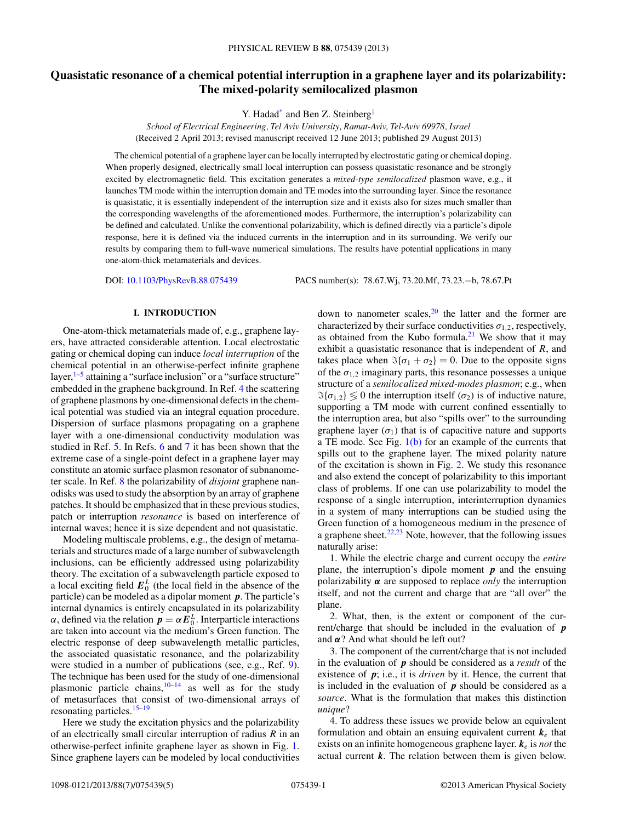# **Quasistatic resonance of a chemical potential interruption in a graphene layer and its polarizability: The mixed-polarity semilocalized plasmon**

Y. Hadad<sup>\*</sup> and Ben Z. Steinberg<sup>[†](#page-4-0)</sup>

*School of Electrical Engineering, Tel Aviv University, Ramat-Aviv, Tel-Aviv 69978, Israel* (Received 2 April 2013; revised manuscript received 12 June 2013; published 29 August 2013)

The chemical potential of a graphene layer can be locally interrupted by electrostatic gating or chemical doping. When properly designed, electrically small local interruption can possess quasistatic resonance and be strongly excited by electromagnetic field. This excitation generates a *mixed-type semilocalized* plasmon wave, e.g., it launches TM mode within the interruption domain and TE modes into the surrounding layer. Since the resonance is quasistatic, it is essentially independent of the interruption size and it exists also for sizes much smaller than the corresponding wavelengths of the aforementioned modes. Furthermore, the interruption's polarizability can be defined and calculated. Unlike the conventional polarizability, which is defined directly via a particle's dipole response, here it is defined via the induced currents in the interruption and in its surrounding. We verify our results by comparing them to full-wave numerical simulations. The results have potential applications in many one-atom-thick metamaterials and devices.

DOI: [10.1103/PhysRevB.88.075439](http://dx.doi.org/10.1103/PhysRevB.88.075439) PACS number(s): 78*.*67*.*Wj, 73*.*20*.*Mf, 73*.*23*.*−b, 78*.*67*.*Pt

### **I. INTRODUCTION**

One-atom-thick metamaterials made of, e.g., graphene layers, have attracted considerable attention. Local electrostatic gating or chemical doping can induce *local interruption* of the chemical potential in an otherwise-perfect infinite graphene layer,<sup>1-5</sup> attaining a "surface inclusion" or a "surface structure" embedded in the graphene background. In Ref. [4](#page-4-0) the scattering of graphene plasmons by one-dimensional defects in the chemical potential was studied via an integral equation procedure. Dispersion of surface plasmons propagating on a graphene layer with a one-dimensional conductivity modulation was studied in Ref. [5.](#page-4-0) In Refs. [6](#page-4-0) and [7](#page-4-0) it has been shown that the extreme case of a single-point defect in a graphene layer may constitute an atomic surface plasmon resonator of subnanometer scale. In Ref. [8](#page-4-0) the polarizability of *disjoint* graphene nanodisks was used to study the absorption by an array of graphene patches. It should be emphasized that in these previous studies, patch or interruption *resonance* is based on interference of internal waves; hence it is size dependent and not quasistatic.

Modeling multiscale problems, e.g., the design of metamaterials and structures made of a large number of subwavelength inclusions, can be efficiently addressed using polarizability theory. The excitation of a subwavelength particle exposed to a local exciting field  $E_0^L$  (the local field in the absence of the particle) can be modeled as a dipolar moment *p*. The particle's internal dynamics is entirely encapsulated in its polarizability *α*, defined via the relation  $p = \alpha \tilde{E}_0^L$ . Interparticle interactions are taken into account via the medium's Green function. The electric response of deep subwavelength metallic particles, the associated quasistatic resonance, and the polarizability were studied in a number of publications (see, e.g., Ref. [9\)](#page-4-0). The technique has been used for the study of one-dimensional plasmonic particle chains, $10-14$  as well as for the study of metasurfaces that consist of two-dimensional arrays of resonating particles.<sup>15–19</sup>

Here we study the excitation physics and the polarizability of an electrically small circular interruption of radius *R* in an otherwise-perfect infinite graphene layer as shown in Fig. [1.](#page-1-0) Since graphene layers can be modeled by local conductivities down to nanometer scales,  $20$  the latter and the former are characterized by their surface conductivities  $\sigma_{1,2}$ , respectively, as obtained from the Kubo formula.<sup>[21](#page-4-0)</sup> We show that it may exhibit a quasistatic resonance that is independent of *R*, and takes place when  $\Im{\{\sigma_1 + \sigma_2\}} = 0$ . Due to the opposite signs of the  $\sigma_{1,2}$  imaginary parts, this resonance possesses a unique structure of a *semilocalized mixed-modes plasmon*; e.g., when  $\mathfrak{B}\{\sigma_{1,2}\} \leq 0$  the interruption itself ( $\sigma_2$ ) is of inductive nature, supporting a TM mode with current confined essentially to the interruption area, but also "spills over" to the surrounding graphene layer  $(\sigma_1)$  that is of capacitive nature and supports a TE mode. See Fig.  $1(b)$  for an example of the currents that spills out to the graphene layer. The mixed polarity nature of the excitation is shown in Fig. [2.](#page-1-0) We study this resonance and also extend the concept of polarizability to this important class of problems. If one can use polarizability to model the response of a single interruption, interinterruption dynamics in a system of many interruptions can be studied using the Green function of a homogeneous medium in the presence of a graphene sheet. $22,23$  Note, however, that the following issues naturally arise:

1. While the electric charge and current occupy the *entire* plane, the interruption's dipole moment *p* and the ensuing polarizability *α* are supposed to replace *only* the interruption itself, and not the current and charge that are "all over" the plane.

2. What, then, is the extent or component of the current/charge that should be included in the evaluation of *p* and *α*? And what should be left out?

3. The component of the current/charge that is not included in the evaluation of *p* should be considered as a *result* of the existence of *p*; i.e., it is *driven* by it. Hence, the current that is included in the evaluation of *p* should be considered as a *source*. What is the formulation that makes this distinction *unique*?

4. To address these issues we provide below an equivalent formulation and obtain an ensuing equivalent current *k<sup>e</sup>* that exists on an infinite homogeneous graphene layer. *k<sup>e</sup>* is *not* the actual current *k*. The relation between them is given below.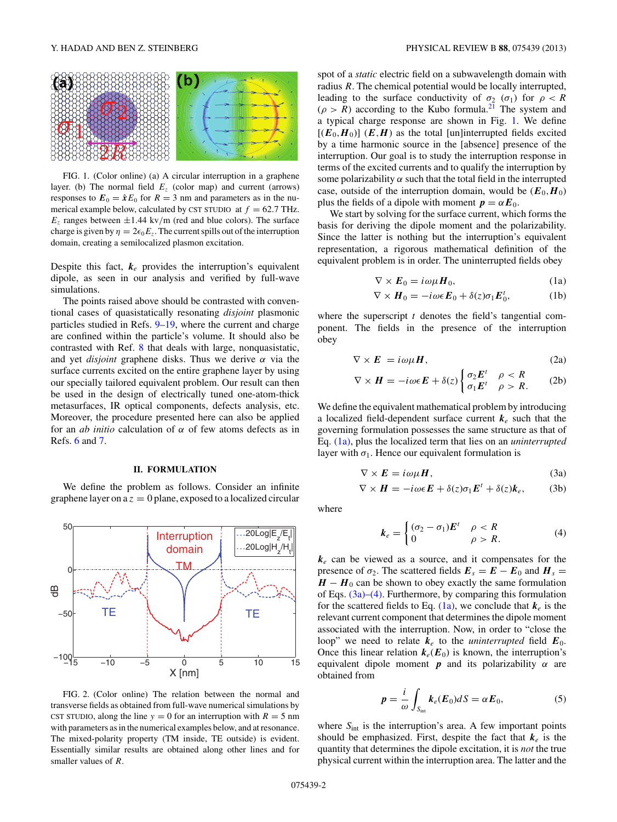<span id="page-1-0"></span>

FIG. 1. (Color online) (a) A circular interruption in a graphene layer. (b) The normal field  $E<sub>z</sub>$  (color map) and current (arrows) responses to  $E_0 = \hat{x}E_0$  for  $R = 3$  nm and parameters as in the numerical example below, calculated by CST STUDIO at  $f = 62.7$  THz.  $E_z$  ranges between  $\pm 1.44$  kv/m (red and blue colors). The surface charge is given by  $\eta = 2\epsilon_0 E_z$ . The current spills out of the interruption domain, creating a semilocalized plasmon excitation.

Despite this fact,  $k_e$  provides the interruption's equivalent dipole, as seen in our analysis and verified by full-wave simulations.

The points raised above should be contrasted with conventional cases of quasistatically resonating *disjoint* plasmonic particles studied in Refs. [9–19,](#page-4-0) where the current and charge are confined within the particle's volume. It should also be contrasted with Ref. [8](#page-4-0) that deals with large, nonquasistatic, and yet *disjoint* graphene disks. Thus we derive *α* via the surface currents excited on the entire graphene layer by using our specially tailored equivalent problem. Our result can then be used in the design of electrically tuned one-atom-thick metasurfaces, IR optical components, defects analysis, etc. Moreover, the procedure presented here can also be applied for an *ab initio* calculation of *α* of few atoms defects as in Refs. [6](#page-4-0) and [7.](#page-4-0)

## **II. FORMULATION**

We define the problem as follows. Consider an infinite graphene layer on  $a z = 0$  plane, exposed to a localized circular



FIG. 2. (Color online) The relation between the normal and transverse fields as obtained from full-wave numerical simulations by CST STUDIO, along the line  $y = 0$  for an interruption with  $R = 5$  nm with parameters as in the numerical examples below, and at resonance. The mixed-polarity property (TM inside, TE outside) is evident. Essentially similar results are obtained along other lines and for smaller values of *R*.

spot of a *static* electric field on a subwavelength domain with radius *R*. The chemical potential would be locally interrupted, leading to the surface conductivity of  $\sigma_2$  ( $\sigma_1$ ) for  $\rho < R$  $(\rho > R)$  according to the Kubo formula.<sup>[21](#page-4-0)</sup> The system and a typical charge response are shown in Fig. 1. We define  $[(E_0, H_0)]$   $(E, H)$  as the total [un]interrupted fields excited by a time harmonic source in the [absence] presence of the interruption. Our goal is to study the interruption response in terms of the excited currents and to qualify the interruption by some polarizability  $\alpha$  such that the total field in the interrupted case, outside of the interruption domain, would be  $(E_0, H_0)$ plus the fields of a dipole with moment  $p = \alpha E_0$ .

We start by solving for the surface current, which forms the basis for deriving the dipole moment and the polarizability. Since the latter is nothing but the interruption's equivalent representation, a rigorous mathematical definition of the equivalent problem is in order. The uninterrupted fields obey

$$
\nabla \times \boldsymbol{E}_0 = i\omega\mu \boldsymbol{H}_0, \tag{1a}
$$

$$
\nabla \times \boldsymbol{H}_0 = -i\omega \epsilon \boldsymbol{E}_0 + \delta(z)\sigma_1 \boldsymbol{E}_0^t, \tag{1b}
$$

where the superscript *t* denotes the field's tangential component. The fields in the presence of the interruption obey

$$
\nabla \times \boldsymbol{E} = i\omega\mu\boldsymbol{H},\tag{2a}
$$

$$
\nabla \times \boldsymbol{H} = -i\omega \epsilon \boldsymbol{E} + \delta(z) \begin{cases} \sigma_2 \boldsymbol{E}^t & \rho < R \\ \sigma_1 \boldsymbol{E}^t & \rho > R. \end{cases} \tag{2b}
$$

We define the equivalent mathematical problem by introducing a localized field-dependent surface current *k<sup>e</sup>* such that the governing formulation possesses the same structure as that of Eq. (1a), plus the localized term that lies on an *uninterrupted* layer with  $\sigma_1$ . Hence our equivalent formulation is

$$
\nabla \times \boldsymbol{E} = i\omega\mu\boldsymbol{H},\tag{3a}
$$

$$
\nabla \times \boldsymbol{H} = -i\omega \epsilon \boldsymbol{E} + \delta(z)\sigma_1 \boldsymbol{E}^t + \delta(z)\boldsymbol{k}_e, \qquad (3b)
$$

where

$$
\boldsymbol{k}_e = \begin{cases} (\sigma_2 - \sigma_1) \boldsymbol{E}^t & \rho < R \\ 0 & \rho > R. \end{cases} \tag{4}
$$

*k<sup>e</sup>* can be viewed as a source, and it compensates for the presence of  $σ_2$ . The scattered fields  $E_s = E - E_0$  and  $H_s =$  $H - H_0$  can be shown to obey exactly the same formulation of Eqs. (3a)–(4). Furthermore, by comparing this formulation for the scattered fields to Eq.  $(1a)$ , we conclude that  $k_e$  is the relevant current component that determines the dipole moment associated with the interruption. Now, in order to "close the loop" we need to relate  $k_e$  to the *uninterrupted* field  $E_0$ . Once this linear relation  $k_e(E_0)$  is known, the interruption's equivalent dipole moment  $p$  and its polarizability  $\alpha$  are obtained from

$$
p = \frac{i}{\omega} \int_{S_{\text{int}}} k_e(E_0) dS = \alpha E_0, \tag{5}
$$

where  $S<sub>int</sub>$  is the interruption's area. A few important points should be emphasized. First, despite the fact that  $k_e$  is the quantity that determines the dipole excitation, it is *not* the true physical current within the interruption area. The latter and the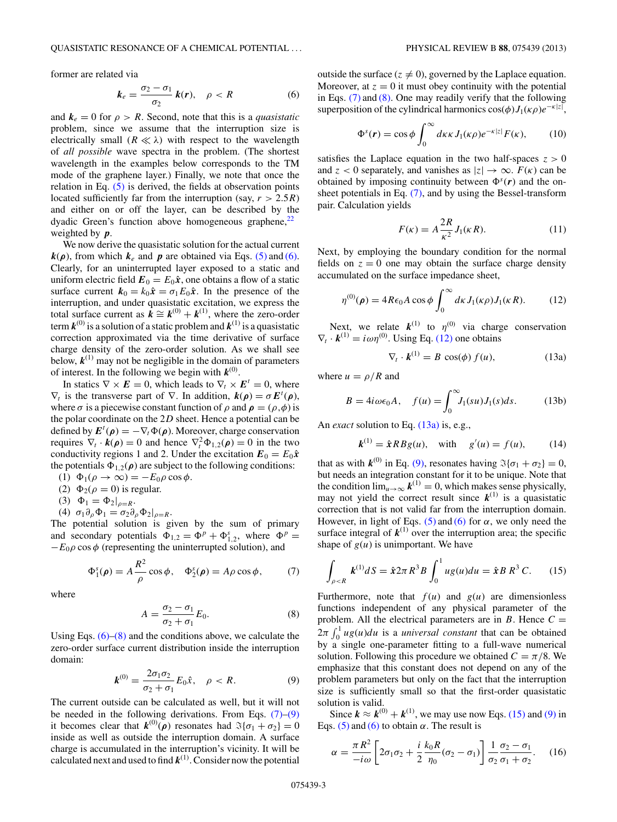<span id="page-2-0"></span>former are related via

$$
k_e = \frac{\sigma_2 - \sigma_1}{\sigma_2} k(r), \quad \rho < R \tag{6}
$$

and  $k_e = 0$  for  $\rho > R$ . Second, note that this is a *quasistatic* problem, since we assume that the interruption size is electrically small  $(R \ll \lambda)$  with respect to the wavelength of *all possible* wave spectra in the problem. (The shortest wavelength in the examples below corresponds to the TM mode of the graphene layer.) Finally, we note that once the relation in Eq. [\(5\)](#page-1-0) is derived, the fields at observation points located sufficiently far from the interruption (say,  $r > 2.5R$ ) and either on or off the layer, can be described by the dyadic Green's function above homogeneous graphene, $^{22}$ weighted by *p*.

We now derive the quasistatic solution for the actual current  $k(\rho)$ , from which  $k_e$  and  $p$  are obtained via Eqs. [\(5\)](#page-1-0) and (6). Clearly, for an uninterrupted layer exposed to a static and uniform electric field  $\mathbf{E}_0 = E_0 \hat{\mathbf{x}}$ , one obtains a flow of a static surface current  $k_0 = k_0 \hat{x} = \sigma_1 E_0 \hat{x}$ . In the presence of the interruption, and under quasistatic excitation, we express the total surface current as  $\mathbf{k} \cong \mathbf{k}^{(0)} + \mathbf{k}^{(1)}$ , where the zero-order term  $k^{(0)}$  is a solution of a static problem and  $k^{(1)}$  is a quasistatic correction approximated via the time derivative of surface charge density of the zero-order solution. As we shall see below,  $\mathbf{k}^{(1)}$  may not be negligible in the domain of parameters of interest. In the following we begin with  $k^{(0)}$ .

In statics  $\nabla \times \mathbf{E} = 0$ , which leads to  $\nabla_t \times \mathbf{E}^t = 0$ , where  $\nabla_t$  is the transverse part of  $\nabla$ . In addition,  $k(\rho) = \sigma E^t(\rho)$ , where  $\sigma$  is a piecewise constant function of  $\rho$  and  $\rho = (\rho, \phi)$  is the polar coordinate on the 2*D* sheet. Hence a potential can be defined by  $\mathbf{E}^t(\rho) = -\nabla_t \Phi(\rho)$ . Moreover, charge conservation requires  $\nabla_t \cdot \mathbf{k}(\rho) = 0$  and hence  $\nabla_t^2 \Phi_{1,2}(\rho) = 0$  in the two conductivity regions 1 and 2. Under the excitation  $E_0 = E_0 \hat{x}$ the potentials  $\Phi_{1,2}(\rho)$  are subject to the following conditions:

- (1)  $\Phi_1(\rho \to \infty) = -E_0 \rho \cos \phi$ .
- (2)  $\Phi_2(\rho = 0)$  is regular.
- (3)  $\Phi_1 = \Phi_2|_{\rho=R}$ .
- (4)  $\sigma_1 \partial_\rho \Phi_1 = \sigma_2 \partial_\rho \Phi_2|_{\rho=R}$ .

The potential solution is given by the sum of primary and secondary potentials  $\Phi_{1,2} = \Phi^p + \Phi_{1,2}^s$ , where  $\Phi^p =$  $-E_0 \rho \cos \phi$  (representing the uninterrupted solution), and

$$
\Phi_1^s(\rho) = A \frac{R^2}{\rho} \cos \phi, \quad \Phi_2^s(\rho) = A \rho \cos \phi, \tag{7}
$$

where

$$
A = \frac{\sigma_2 - \sigma_1}{\sigma_2 + \sigma_1} E_0.
$$
 (8)

Using Eqs.  $(6)$ – $(8)$  and the conditions above, we calculate the zero-order surface current distribution inside the interruption domain:

$$
\mathbf{k}^{(0)} = \frac{2\sigma_1\sigma_2}{\sigma_2 + \sigma_1} E_0 \hat{x}, \quad \rho < R. \tag{9}
$$

The current outside can be calculated as well, but it will not be needed in the following derivations. From Eqs.  $(7)-(9)$ it becomes clear that  $\mathbf{k}^{(0)}(\rho)$  resonates had  $\mathfrak{F}\{\sigma_1 + \sigma_2\} = 0$ inside as well as outside the interruption domain. A surface charge is accumulated in the interruption's vicinity. It will be calculated next and used to find  $k^{(1)}$ . Consider now the potential outside the surface  $(z \neq 0)$ , governed by the Laplace equation. Moreover, at  $z = 0$  it must obey continuity with the potential in Eqs.  $(7)$  and  $(8)$ . One may readily verify that the following superposition of the cylindrical harmonics  $cos(\phi)J_1(\kappa \rho)e^{-\kappa|z|}$ ,

$$
\Phi^{s}(\mathbf{r}) = \cos \phi \int_{0}^{\infty} d\kappa \kappa J_{1}(\kappa \rho) e^{-\kappa |z|} F(\kappa), \qquad (10)
$$

satisfies the Laplace equation in the two half-spaces  $z > 0$ and  $z < 0$  separately, and vanishes as  $|z| \to \infty$ .  $F(\kappa)$  can be obtained by imposing continuity between  $\Phi^{s}(r)$  and the onsheet potentials in Eq. (7), and by using the Bessel-transform pair. Calculation yields

$$
F(\kappa) = A \frac{2R}{\kappa^2} J_1(\kappa R). \tag{11}
$$

Next, by employing the boundary condition for the normal fields on  $z = 0$  one may obtain the surface charge density accumulated on the surface impedance sheet,

$$
\eta^{(0)}(\rho) = 4R\epsilon_0 A \cos\phi \int_0^\infty d\kappa J_1(\kappa \rho) J_1(\kappa R). \tag{12}
$$

Next, we relate  $k^{(1)}$  to  $n^{(0)}$  via charge conservation  $\nabla_t \cdot \mathbf{k}^{(1)} = i \omega \eta^{(0)}$ . Using Eq. (12) one obtains

$$
\nabla_t \cdot \mathbf{k}^{(1)} = B \cos(\phi) f(u), \tag{13a}
$$

where  $u = \rho/R$  and

$$
B = 4i\omega\epsilon_0 A, \quad f(u) = \int_0^\infty J_1(su)J_1(s)ds.
$$
 (13b)

An *exact* solution to Eq. (13a) is, e.g.,

$$
k^{(1)} = \hat{x} R B g(u),
$$
 with  $g'(u) = f(u),$  (14)

that as with  $\mathbf{k}^{(0)}$  in Eq. (9), resonates having  $\Im{\lbrace \sigma_1 + \sigma_2 \rbrace} = 0$ , but needs an integration constant for it to be unique. Note that the condition  $\lim_{u\to\infty}$   $\mathbf{k}^{(1)} = 0$ , which makes sense physically, may not yield the correct result since  $k^{(1)}$  is a quasistatic correction that is not valid far from the interruption domain. However, in light of Eqs.  $(5)$  and  $(6)$  for  $\alpha$ , we only need the surface integral of  $k^{(1)}$  over the interruption area; the specific shape of  $g(u)$  is unimportant. We have

$$
\int_{\rho < R} \mathbf{k}^{(1)} dS = \hat{\mathbf{x}} 2\pi R^3 B \int_0^1 u g(u) du = \hat{\mathbf{x}} B R^3 C. \tag{15}
$$

Furthermore, note that  $f(u)$  and  $g(u)$  are dimensionless functions independent of any physical parameter of the problem. All the electrical parameters are in *B*. Hence  $C =$  $2\pi \int_0^1 u g(u) du$  is a *universal constant* that can be obtained by a single one-parameter fitting to a full-wave numerical solution. Following this procedure we obtained  $C = \pi/8$ . We emphasize that this constant does not depend on any of the problem parameters but only on the fact that the interruption size is sufficiently small so that the first-order quasistatic solution is valid.

Since  $k \approx k^{(0)} + k^{(1)}$ , we may use now Eqs. (15) and (9) in Eqs.  $(5)$  and  $(6)$  to obtain  $\alpha$ . The result is

$$
\alpha = \frac{\pi R^2}{-i\omega} \left[ 2\sigma_1 \sigma_2 + \frac{i}{2} \frac{k_0 R}{\eta_0} (\sigma_2 - \sigma_1) \right] \frac{1}{\sigma_2} \frac{\sigma_2 - \sigma_1}{\sigma_1 + \sigma_2}.
$$
 (16)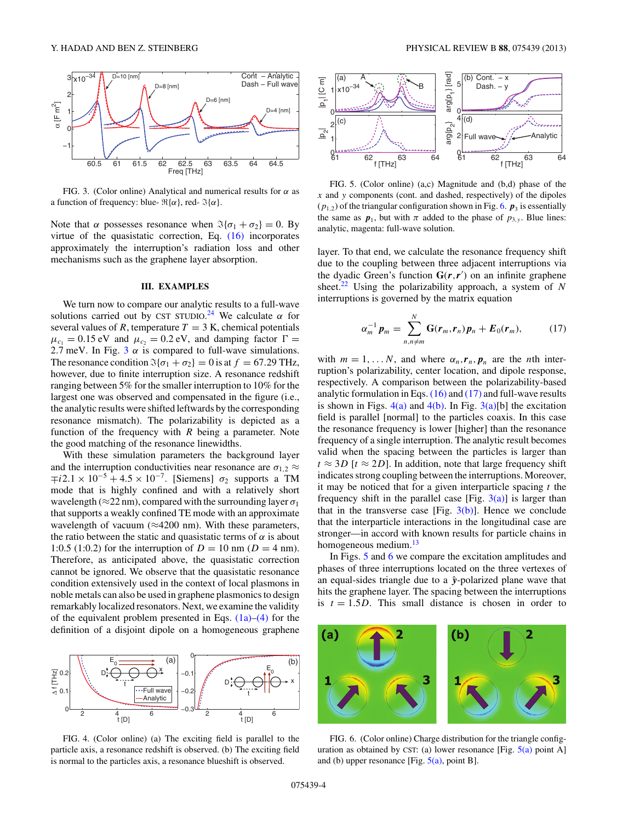<span id="page-3-0"></span>

FIG. 3. (Color online) Analytical and numerical results for *α* as a function of frequency: blue-  $\Re{\alpha}$ , red-  $\Im{\alpha}$ .

Note that  $\alpha$  possesses resonance when  $\Im{\lbrace \sigma_1 + \sigma_2 \rbrace} = 0$ . By virtue of the quasistatic correction, Eq. [\(16\)](#page-2-0) incorporates approximately the interruption's radiation loss and other mechanisms such as the graphene layer absorption.

#### **III. EXAMPLES**

We turn now to compare our analytic results to a full-wave solutions carried out by CST STUDIO.<sup>[24](#page-4-0)</sup> We calculate  $\alpha$  for several values of  $R$ , temperature  $T = 3$  K, chemical potentials  $\mu_{c_1} = 0.15 \text{ eV}$  and  $\mu_{c_2} = 0.2 \text{ eV}$ , and damping factor  $\Gamma =$ 2.7 meV. In Fig.  $3 \alpha$  is compared to full-wave simulations. The resonance condition  $\Im{\sigma_1 + \sigma_2} = 0$  is at  $f = 67.29$  THz, however, due to finite interruption size. A resonance redshift ranging between 5% for the smaller interruption to 10% for the largest one was observed and compensated in the figure (i.e., the analytic results were shifted leftwards by the corresponding resonance mismatch). The polarizability is depicted as a function of the frequency with *R* being a parameter. Note the good matching of the resonance linewidths.

With these simulation parameters the background layer and the interruption conductivities near resonance are  $\sigma_{1,2} \approx$ ∓*i*2*.*1 × 10<sup>−</sup><sup>5</sup> + 4*.*5 × 10<sup>−</sup>7. [Siemens] *σ*<sup>2</sup> supports a TM mode that is highly confined and with a relatively short wavelength ( $\approx$ 22 nm), compared with the surrounding layer  $\sigma_1$ that supports a weakly confined TE mode with an approximate wavelength of vacuum ( $\approx$ 4200 nm). With these parameters, the ratio between the static and quasistatic terms of  $\alpha$  is about 1:0.5 (1:0.2) for the interruption of  $D = 10$  nm ( $D = 4$  nm). Therefore, as anticipated above, the quasistatic correction cannot be ignored. We observe that the quasistatic resonance condition extensively used in the context of local plasmons in noble metals can also be used in graphene plasmonics to design remarkably localized resonators. Next, we examine the validity of the equivalent problem presented in Eqs.  $(1a)$ – $(4)$  for the definition of a disjoint dipole on a homogeneous graphene



FIG. 4. (Color online) (a) The exciting field is parallel to the particle axis, a resonance redshift is observed. (b) The exciting field is normal to the particles axis, a resonance blueshift is observed.



FIG. 5. (Color online) (a,c) Magnitude and (b,d) phase of the *x* and *y* components (cont. and dashed, respectively) of the dipoles  $(p_{1,2})$  of the triangular configuration shown in Fig. 6.  $p_3$  is essentially the same as  $p_1$ , but with  $\pi$  added to the phase of  $p_{3,y}$ . Blue lines: analytic, magenta: full-wave solution.

layer. To that end, we calculate the resonance frequency shift due to the coupling between three adjacent interruptions via the dyadic Green's function  $G(r, r')$  on an infinite graphene sheet[.22](#page-4-0) Using the polarizability approach, a system of *N* interruptions is governed by the matrix equation

$$
\alpha_m^{-1} \boldsymbol{p}_m = \sum_{n,n \neq m}^N \mathbf{G}(\boldsymbol{r}_m, \boldsymbol{r}_n) \boldsymbol{p}_n + \boldsymbol{E}_0(\boldsymbol{r}_m), \qquad (17)
$$

with  $m = 1, \ldots N$ , and where  $\alpha_n$ ,  $\mathbf{r}_n$ ,  $\mathbf{p}_n$  are the *n*th interruption's polarizability, center location, and dipole response, respectively. A comparison between the polarizability-based analytic formulation in Eqs.  $(16)$  and  $(17)$  and full-wave results is shown in Figs.  $4(a)$  and  $4(b)$ . In Fig.  $3(a)[b]$  the excitation field is parallel [normal] to the particles coaxis. In this case the resonance frequency is lower [higher] than the resonance frequency of a single interruption. The analytic result becomes valid when the spacing between the particles is larger than  $t \approx 3D$  [ $t \approx 2D$ ]. In addition, note that large frequency shift indicates strong coupling between the interruptions. Moreover, it may be noticed that for a given interparticle spacing *t* the frequency shift in the parallel case [Fig.  $3(a)$ ] is larger than that in the transverse case [Fig.  $3(b)$ ]. Hence we conclude that the interparticle interactions in the longitudinal case are stronger—in accord with known results for particle chains in homogeneous medium.<sup>13</sup>

In Figs. 5 and 6 we compare the excitation amplitudes and phases of three interruptions located on the three vertexes of an equal-sides triangle due to a  $\hat{y}$ -polarized plane wave that hits the graphene layer. The spacing between the interruptions is  $t = 1.5D$ . This small distance is chosen in order to



FIG. 6. (Color online) Charge distribution for the triangle configuration as obtained by CST: (a) lower resonance [Fig.  $5(a)$  point A] and (b) upper resonance [Fig.  $5(a)$ , point B].